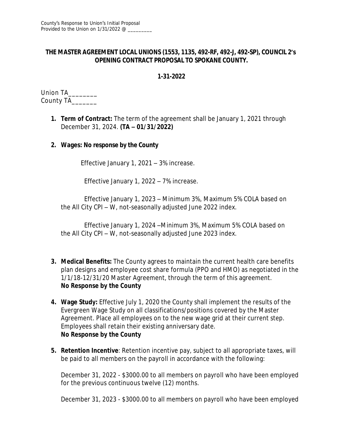## **THE MASTER AGREEMENT LOCAL UNIONS (1553, 1135, 492-RF, 492-J, 492-SP), COUNCIL 2's OPENING CONTRACT PROPOSAL TO SPOKANE COUNTY.**

#### **1-31-2022**

Union TA\_\_\_\_\_\_\_\_ County TA\_\_\_\_\_\_\_

> **1. Term of Contract:** The term of the agreement shall be January 1, 2021 through December 31, 2024. **(TA – 01/31/2022)**

### **2. Wages: No response by the County**

Effective January 1, 2021 – 3% increase.

Effective January 1, 2022 – 7% increase.

Effective January 1, 2023 – Minimum 3%, Maximum 5% COLA based on the All City CPI – W, not-seasonally adjusted June 2022 index.

Effective January 1, 2024 –Minimum 3%, Maximum 5% COLA based on the All City CPI – W, not-seasonally adjusted June 2023 index.

- **3. Medical Benefits:** The County agrees to maintain the current health care benefits plan designs and employee cost share formula (PPO and HMO) as negotiated in the 1/1/18-12/31/20 Master Agreement, through the term of this agreement. **No Response by the County**
- **4. Wage Study:** Effective July 1, 2020 the County shall implement the results of the Evergreen Wage Study on all classifications/positions covered by the Master Agreement. Place all employees on to the new wage grid at their current step. Employees shall retain their existing anniversary date. **No Response by the County**
- **5. Retention Incentive**: Retention incentive pay, subject to all appropriate taxes, will be paid to all members on the payroll in accordance with the following:

December 31, 2022 - \$3000.00 to all members on payroll who have been employed for the previous continuous twelve (12) months.

December 31, 2023 - \$3000.00 to all members on payroll who have been employed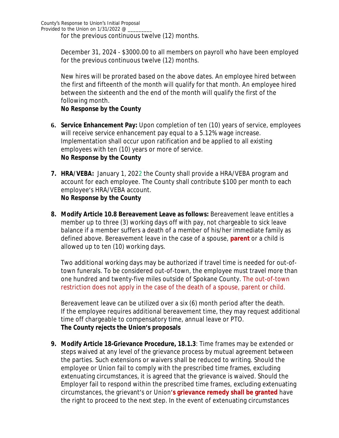for the previous continuous twelve (12) months.

December 31, 2024 - \$3000.00 to all members on payroll who have been employed for the previous continuous twelve (12) months.

New hires will be prorated based on the above dates. An employee hired between the first and fifteenth of the month will qualify for that month. An employee hired between the sixteenth and the end of the month will qualify the first of the following month.

## **No Response by the County**

- **6. Service Enhancement Pay:** Upon completion of ten (10) years of service, employees will receive service enhancement pay equal to a 5.12% wage increase. Implementation shall occur upon ratification and be applied to all existing employees with ten (10) years or more of service. **No Response by the County**
- **7. HRA/VEBA:** January 1, 2022 the County shall provide a HRA/VEBA program and account for each employee. The County shall contribute \$100 per month to each employee's HRA/VEBA account. **No Response by the County**
- **8. Modify Article 10.8 Bereavement Leave as follows:** Bereavement leave entitles a member up to three (3) working days off with pay, not chargeable to sick leave balance if a member suffers a death of a member of his/her immediate family as defined above. Bereavement leave in the case of a spouse, **parent** or a child is allowed up to ten (10) working days.

Two additional working days may be authorized if travel time is needed for out-oftown funerals. To be considered out-of-town, the employee must travel more than one hundred and twenty-five miles outside of Spokane County. The out-of-town restriction does not apply in the case of the death of a spouse, parent or child.

Bereavement leave can be utilized over a six (6) month period after the death. If the employee requires additional bereavement time, they may request additional time off chargeable to compensatory time, annual leave or PTO. **The County rejects the Union's proposals**

**9. Modify Article 18-Grievance Procedure, 18.1.3**: Time frames may be extended or steps waived at any level of the grievance process by mutual agreement between the parties. Such extensions or waivers shall be reduced to writing. Should the employee or Union fail to comply with the prescribed time frames, excluding extenuating circumstances, it is agreed that the grievance is waived. Should the Employer fail to respond within the prescribed time frames, excluding extenuating circumstances, the grievant's or Union'**s grievance remedy shall be granted** have the right to proceed to the next step. In the event of extenuating circumstances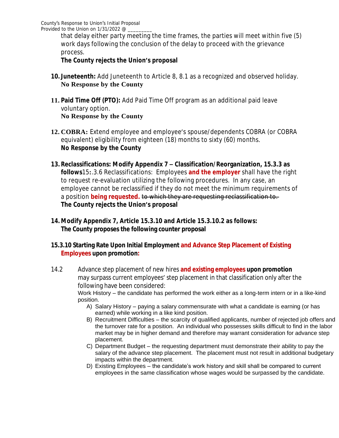that delay either party meeting the time frames, the parties will meet within five (5) work days following the conclusion of the delay to proceed with the grievance process.

# **The County rejects the Union's proposal**

- **10. Juneteenth:** Add Juneteenth to Article 8, 8.1 as a recognized and observed holiday. **No Response by the County**
- **11. Paid Time Off (PTO):** Add Paid Time Off program as an additional paid leave voluntary option. **No Response by the County**
- **12. COBRA:** Extend employee and employee's spouse/dependents COBRA (or COBRA equivalent) eligibility from eighteen (18) months to sixty (60) months. **No Response by the County**
- **13. Reclassifications: Modify Appendix 7 – Classification/Reorganization, 15.3.3 as follows**15**:**.3.6 Reclassifications: Employees **and the employer** shall have the right to request re-evaluation utilizing the following procedures. In any case, an employee cannot be reclassified if they do not meet the minimum requirements of a position **being requested.** to which they are requesting reclassification to. **The County rejects the Union's proposal**
- **14. Modify Appendix 7, Article 15.3.10 and Article 15.3.10.2 as follows: The County proposes the following counter proposal**

### **15.3.10 Starting Rate Upon Initial Employment and Advance Step Placement of Existing Employees upon promotion:**

- 14.2 Advance step placement of new hires **and existing employees upon promotion**  may surpass current employees' step placement in that classification only after the following have been considered: Work History – the candidate has performed the work either as a long-term intern or in a like-kind position.
	- A) Salary History paying a salary commensurate with what a candidate is earning (or has earned) while working in a like kind position.
	- B) Recruitment Difficulties the scarcity of qualified applicants, number of rejected job offers and the turnover rate for a position. An individual who possesses skills difficult to find in the labor market may be in higher demand and therefore may warrant consideration for advance step placement.
	- C) Department Budget the requesting department must demonstrate their ability to pay the salary of the advance step placement. The placement must not result in additional budgetary impacts within the department.
	- D) Existing Employees the candidate's work history and skill shall be compared to current employees in the same classification whose wages would be surpassed by the candidate.